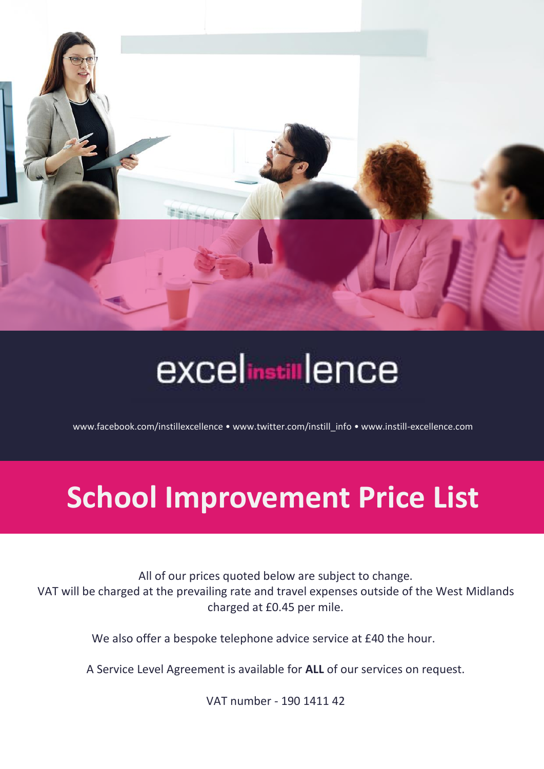

# **excelinstillence**

[www.facebook.com/instillexcellence](http://www.facebook.com/instillexcellence) [• www.twitter.com/instill\\_info](http://www.twitter.com/instill_info) • www.instill-excellence.com

## **School Improvement Price List**

All of our prices quoted below are subject to change. VAT will be charged at the prevailing rate and travel expenses outside of the West Midlands charged at £0.45 per mile.

We also offer a bespoke telephone advice service at £40 the hour.

A Service Level Agreement is available for **ALL** of our services on request.

VAT number - 190 1411 42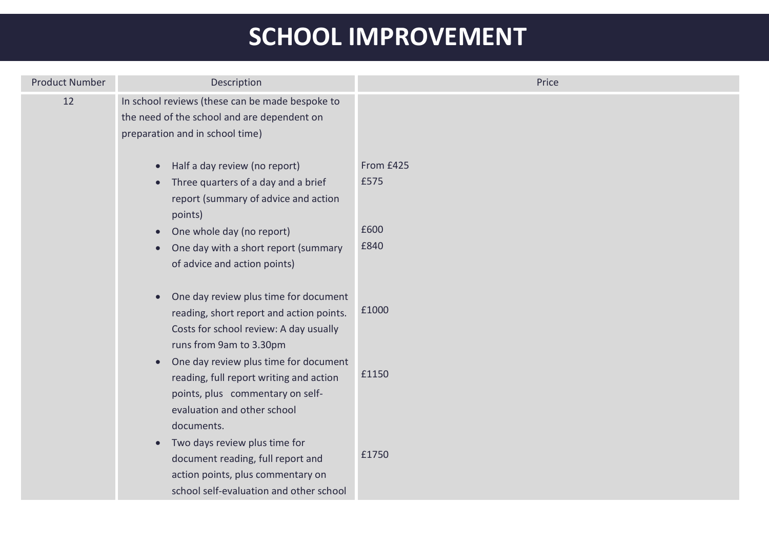### **SCHOOL IMPROVEMENT**

| <b>Product Number</b> | Description                                                                                                                                                                   | Price     |
|-----------------------|-------------------------------------------------------------------------------------------------------------------------------------------------------------------------------|-----------|
| 12                    | In school reviews (these can be made bespoke to<br>the need of the school and are dependent on<br>preparation and in school time)                                             |           |
|                       | Half a day review (no report)<br>$\bullet$                                                                                                                                    | From £425 |
|                       | Three quarters of a day and a brief<br>$\bullet$<br>report (summary of advice and action<br>points)                                                                           | £575      |
|                       | One whole day (no report)<br>$\bullet$                                                                                                                                        | £600      |
|                       | One day with a short report (summary<br>$\bullet$<br>of advice and action points)                                                                                             | £840      |
|                       | One day review plus time for document<br>$\bullet$<br>reading, short report and action points.<br>Costs for school review: A day usually<br>runs from 9am to 3.30pm           | £1000     |
|                       | One day review plus time for document<br>$\bullet$<br>reading, full report writing and action<br>points, plus commentary on self-<br>evaluation and other school              | £1150     |
|                       | documents.<br>Two days review plus time for<br>$\bullet$<br>document reading, full report and<br>action points, plus commentary on<br>school self-evaluation and other school | £1750     |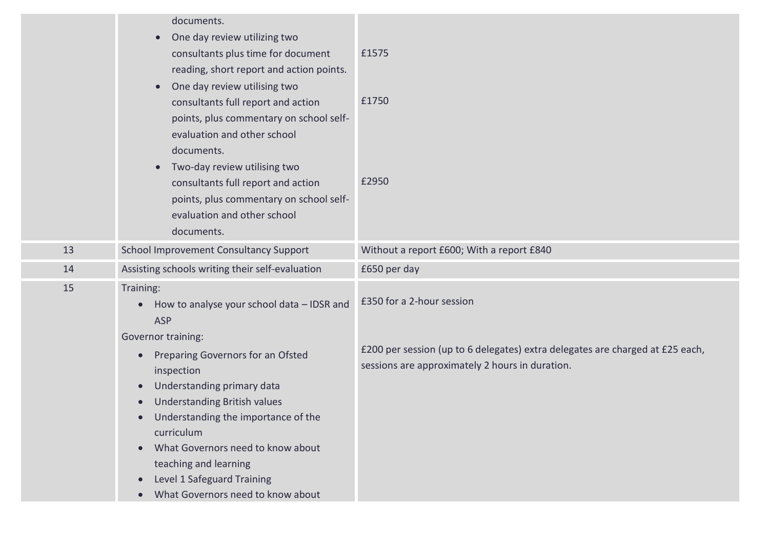|    | documents.<br>One day review utilizing two<br>$\bullet$<br>consultants plus time for document<br>reading, short report and action points.<br>One day review utilising two<br>$\bullet$<br>consultants full report and action<br>points, plus commentary on school self-<br>evaluation and other school<br>documents.<br>Two-day review utilising two<br>$\bullet$<br>consultants full report and action<br>points, plus commentary on school self-<br>evaluation and other school<br>documents. | £1575<br>£1750<br>£2950                                                                                                          |
|----|-------------------------------------------------------------------------------------------------------------------------------------------------------------------------------------------------------------------------------------------------------------------------------------------------------------------------------------------------------------------------------------------------------------------------------------------------------------------------------------------------|----------------------------------------------------------------------------------------------------------------------------------|
| 13 | School Improvement Consultancy Support                                                                                                                                                                                                                                                                                                                                                                                                                                                          | Without a report £600; With a report £840                                                                                        |
| 14 | Assisting schools writing their self-evaluation                                                                                                                                                                                                                                                                                                                                                                                                                                                 | £650 per day                                                                                                                     |
| 15 | Training:<br>How to analyse your school data - IDSR and<br>$\bullet$<br><b>ASP</b>                                                                                                                                                                                                                                                                                                                                                                                                              | £350 for a 2-hour session                                                                                                        |
|    | Governor training:<br>Preparing Governors for an Ofsted<br>$\bullet$<br>inspection<br>Understanding primary data<br>$\bullet$<br><b>Understanding British values</b><br>$\bullet$<br>Understanding the importance of the<br>$\bullet$<br>curriculum<br>What Governors need to know about<br>$\bullet$                                                                                                                                                                                           | £200 per session (up to 6 delegates) extra delegates are charged at £25 each,<br>sessions are approximately 2 hours in duration. |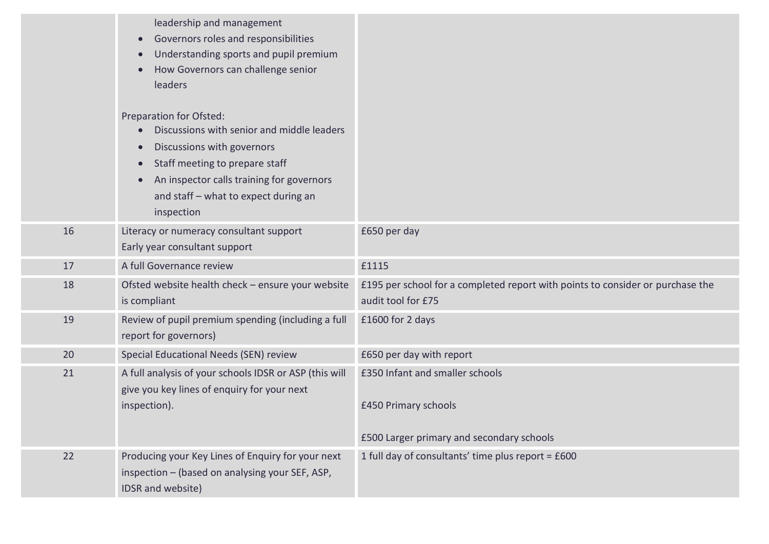|    | leadership and management<br>Governors roles and responsibilities<br>Understanding sports and pupil premium<br>How Governors can challenge senior<br>leaders<br>Preparation for Ofsted:<br>Discussions with senior and middle leaders<br>Discussions with governors<br>Staff meeting to prepare staff<br>An inspector calls training for governors<br>and staff - what to expect during an<br>inspection |                                                                                                      |
|----|----------------------------------------------------------------------------------------------------------------------------------------------------------------------------------------------------------------------------------------------------------------------------------------------------------------------------------------------------------------------------------------------------------|------------------------------------------------------------------------------------------------------|
| 16 | Literacy or numeracy consultant support<br>Early year consultant support                                                                                                                                                                                                                                                                                                                                 | £650 per day                                                                                         |
| 17 | A full Governance review                                                                                                                                                                                                                                                                                                                                                                                 | £1115                                                                                                |
| 18 | Ofsted website health check - ensure your website<br>is compliant                                                                                                                                                                                                                                                                                                                                        | £195 per school for a completed report with points to consider or purchase the<br>audit tool for £75 |
| 19 | Review of pupil premium spending (including a full<br>report for governors)                                                                                                                                                                                                                                                                                                                              | £1600 for 2 days                                                                                     |
| 20 | Special Educational Needs (SEN) review                                                                                                                                                                                                                                                                                                                                                                   | £650 per day with report                                                                             |
| 21 | A full analysis of your schools IDSR or ASP (this will<br>give you key lines of enquiry for your next<br>inspection).                                                                                                                                                                                                                                                                                    | £350 Infant and smaller schools<br>£450 Primary schools<br>£500 Larger primary and secondary schools |
| 22 | Producing your Key Lines of Enquiry for your next<br>inspection - (based on analysing your SEF, ASP,<br>IDSR and website)                                                                                                                                                                                                                                                                                | 1 full day of consultants' time plus report = £600                                                   |